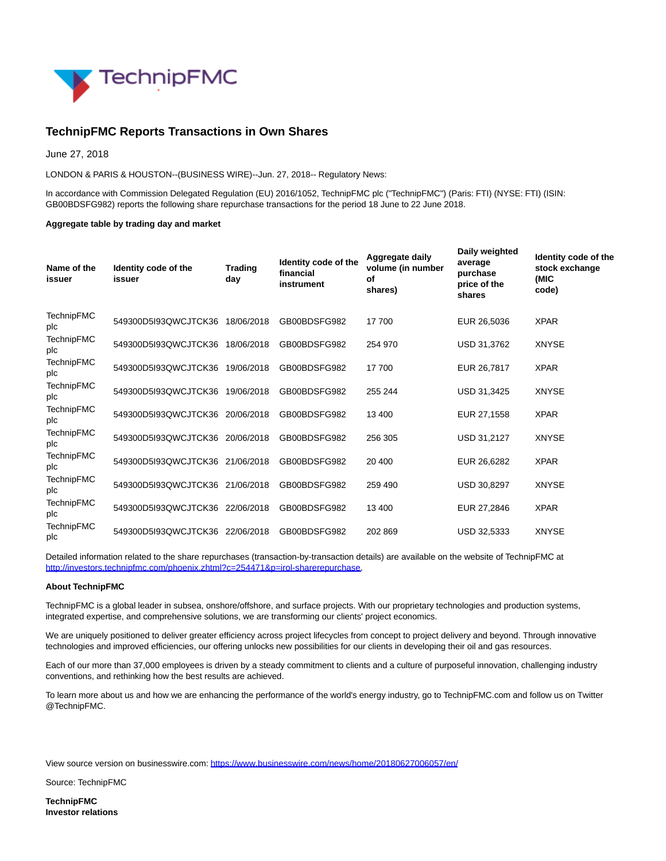

## **TechnipFMC Reports Transactions in Own Shares**

June 27, 2018

LONDON & PARIS & HOUSTON--(BUSINESS WIRE)--Jun. 27, 2018-- Regulatory News:

In accordance with Commission Delegated Regulation (EU) 2016/1052, TechnipFMC plc ("TechnipFMC") (Paris: FTI) (NYSE: FTI) (ISIN: GB00BDSFG982) reports the following share repurchase transactions for the period 18 June to 22 June 2018.

## **Aggregate table by trading day and market**

| Name of the<br>issuer    | Identity code of the<br>issuer | <b>Trading</b><br>day | Identity code of the<br>financial<br>instrument | Aggregate daily<br>volume (in number<br>οf<br>shares) | Daily weighted<br>average<br>purchase<br>price of the<br>shares | Identity code of the<br>stock exchange<br>(MIC<br>code) |
|--------------------------|--------------------------------|-----------------------|-------------------------------------------------|-------------------------------------------------------|-----------------------------------------------------------------|---------------------------------------------------------|
| <b>TechnipFMC</b><br>plc | 549300D5l93QWCJTCK36           | 18/06/2018            | GB00BDSFG982                                    | 17 700                                                | EUR 26,5036                                                     | <b>XPAR</b>                                             |
| <b>TechnipFMC</b><br>plc | 549300D5l93QWCJTCK36           | 18/06/2018            | GB00BDSFG982                                    | 254 970                                               | USD 31,3762                                                     | <b>XNYSE</b>                                            |
| <b>TechnipFMC</b><br>plc | 549300D5I93QWCJTCK36           | 19/06/2018            | GB00BDSFG982                                    | 17 700                                                | EUR 26,7817                                                     | <b>XPAR</b>                                             |
| <b>TechnipFMC</b><br>plc | 549300D5I93QWCJTCK36           | 19/06/2018            | GB00BDSFG982                                    | 255 244                                               | USD 31,3425                                                     | <b>XNYSE</b>                                            |
| <b>TechnipFMC</b><br>plc | 549300D5I93QWCJTCK36           | 20/06/2018            | GB00BDSFG982                                    | 13 400                                                | EUR 27,1558                                                     | <b>XPAR</b>                                             |
| <b>TechnipFMC</b><br>plc | 549300D5I93QWCJTCK36           | 20/06/2018            | GB00BDSFG982                                    | 256 305                                               | USD 31,2127                                                     | <b>XNYSE</b>                                            |
| <b>TechnipFMC</b><br>plc | 549300D5I93QWCJTCK36           | 21/06/2018            | GB00BDSFG982                                    | 20 400                                                | EUR 26,6282                                                     | <b>XPAR</b>                                             |
| <b>TechnipFMC</b><br>plc | 549300D5I93QWCJTCK36           | 21/06/2018            | GB00BDSFG982                                    | 259 490                                               | USD 30,8297                                                     | <b>XNYSE</b>                                            |
| <b>TechnipFMC</b><br>plc | 549300D5I93QWCJTCK36           | 22/06/2018            | GB00BDSFG982                                    | 13 400                                                | EUR 27,2846                                                     | <b>XPAR</b>                                             |
| <b>TechnipFMC</b><br>plc | 549300D5I93QWCJTCK36           | 22/06/2018            | GB00BDSFG982                                    | 202 869                                               | <b>USD 32.5333</b>                                              | <b>XNYSE</b>                                            |

Detailed information related to the share repurchases (transaction-by-transaction details) are available on the website of TechnipFMC at [http://investors.technipfmc.com/phoenix.zhtml?c=254471&p=irol-sharerepurchase.](http://cts.businesswire.com/ct/CT?id=smartlink&url=http%3A%2F%2Finvestors.technipfmc.com%2Fphoenix.zhtml%3Fc%3D254471%26p%3Dirol-sharerepurchase&esheet=51829151&newsitemid=20180627006057&lan=en-US&anchor=http%3A%2F%2Finvestors.technipfmc.com%2Fphoenix.zhtml%3Fc%3D254471%26p%3Dirol-sharerepurchase&index=1&md5=5f0821c6992ff3f8064f543fba03821a)

## **About TechnipFMC**

TechnipFMC is a global leader in subsea, onshore/offshore, and surface projects. With our proprietary technologies and production systems, integrated expertise, and comprehensive solutions, we are transforming our clients' project economics.

We are uniquely positioned to deliver greater efficiency across project lifecycles from concept to project delivery and beyond. Through innovative technologies and improved efficiencies, our offering unlocks new possibilities for our clients in developing their oil and gas resources.

Each of our more than 37,000 employees is driven by a steady commitment to clients and a culture of purposeful innovation, challenging industry conventions, and rethinking how the best results are achieved.

To learn more about us and how we are enhancing the performance of the world's energy industry, go to TechnipFMC.com and follow us on Twitter @TechnipFMC.

View source version on businesswire.com:<https://www.businesswire.com/news/home/20180627006057/en/>

Source: TechnipFMC